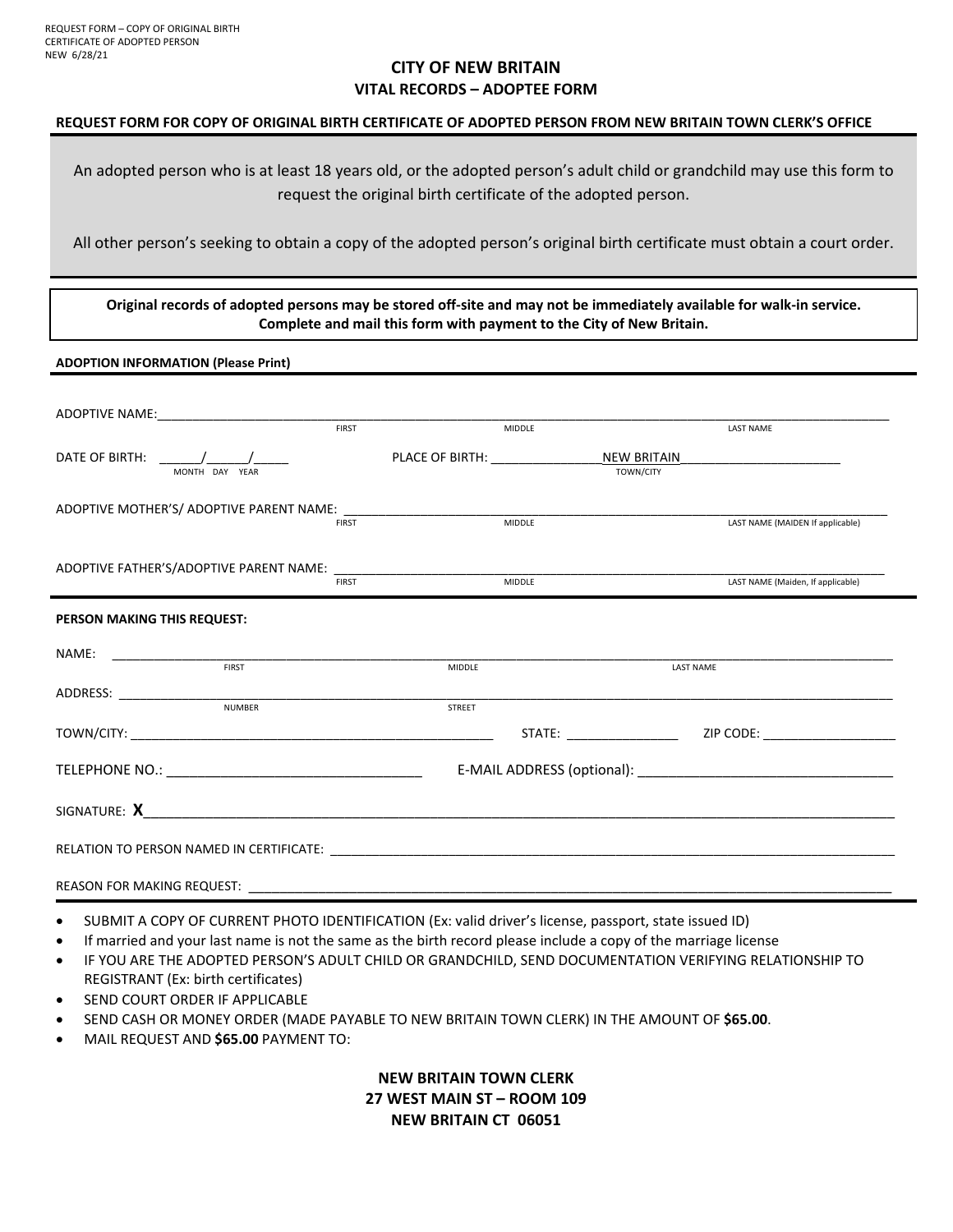#### **CITY OF NEW BRITAIN VITAL RECORDS – ADOPTEE FORM**

#### **REQUEST FORM FOR COPY OF ORIGINAL BIRTH CERTIFICATE OF ADOPTED PERSON FROM NEW BRITAIN TOWN CLERK'S OFFICE**

An adopted person who is at least 18 years old, or the adopted person's adult child or grandchild may use this form to request the original birth certificate of the adopted person.

All other person's seeking to obtain a copy of the adopted person's original birth certificate must obtain a court order.

**Original records of adopted persons may be stored off‐site and may not be immediately available for walk‐in service. Complete and mail this form with payment to the City of New Britain.** 

#### **ADOPTION INFORMATION (Please Print)**

|                                             | <b>FIRST</b> |                                     | <b>MIDDLE</b> |                          | <b>LAST NAME</b>                  |
|---------------------------------------------|--------------|-------------------------------------|---------------|--------------------------|-----------------------------------|
| DATE OF BIRTH: $\sqrt{2}$<br>MONTH DAY YEAR |              | PLACE OF BIRTH: THE STATE OF STATES |               | NEW BRITAIN<br>TOWN/CITY |                                   |
| ADOPTIVE MOTHER'S/ ADOPTIVE PARENT NAME:    | <b>FIRST</b> |                                     | <b>MIDDLE</b> |                          | LAST NAME (MAIDEN If applicable)  |
|                                             | <b>FIRST</b> |                                     | <b>MIDDLE</b> |                          | LAST NAME (Maiden, If applicable) |
| PERSON MAKING THIS REQUEST:                 |              |                                     |               |                          |                                   |
| NAME:<br><b>FIRST</b>                       |              | <b>MIDDLE</b>                       |               | <b>LAST NAME</b>         |                                   |
| <b>NUMBER</b>                               |              | <b>STREET</b>                       |               |                          |                                   |
|                                             |              |                                     |               |                          |                                   |
|                                             |              |                                     |               |                          |                                   |
|                                             |              |                                     |               |                          |                                   |
|                                             |              |                                     |               |                          |                                   |
| <b>REASON FOR MAKING REQUEST:</b>           |              |                                     |               |                          |                                   |

- SUBMIT A COPY OF CURRENT PHOTO IDENTIFICATION (Ex: valid driver's license, passport, state issued ID)
- If married and your last name is not the same as the birth record please include a copy of the marriage license
- IF YOU ARE THE ADOPTED PERSON'S ADULT CHILD OR GRANDCHILD, SEND DOCUMENTATION VERIFYING RELATIONSHIP TO REGISTRANT (Ex: birth certificates)
- SEND COURT ORDER IF APPLICABLE
- SEND CASH OR MONEY ORDER (MADE PAYABLE TO NEW BRITAIN TOWN CLERK) IN THE AMOUNT OF **\$65.00**.
- MAIL REQUEST AND **\$65.00** PAYMENT TO:

**NEW BRITAIN TOWN CLERK 27 WEST MAIN ST – ROOM 109 NEW BRITAIN CT 06051**